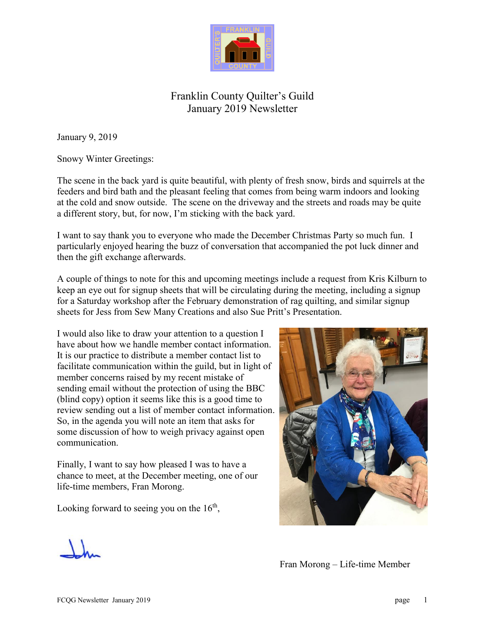

## Franklin County Quilter's Guild January 2019 Newsletter

January 9, 2019

Snowy Winter Greetings:

The scene in the back yard is quite beautiful, with plenty of fresh snow, birds and squirrels at the feeders and bird bath and the pleasant feeling that comes from being warm indoors and looking at the cold and snow outside. The scene on the driveway and the streets and roads may be quite a different story, but, for now, I'm sticking with the back yard.

I want to say thank you to everyone who made the December Christmas Party so much fun. I particularly enjoyed hearing the buzz of conversation that accompanied the pot luck dinner and then the gift exchange afterwards.

A couple of things to note for this and upcoming meetings include a request from Kris Kilburn to keep an eye out for signup sheets that will be circulating during the meeting, including a signup for a Saturday workshop after the February demonstration of rag quilting, and similar signup sheets for Jess from Sew Many Creations and also Sue Pritt's Presentation.

I would also like to draw your attention to a question I have about how we handle member contact information. It is our practice to distribute a member contact list to facilitate communication within the guild, but in light of member concerns raised by my recent mistake of sending email without the protection of using the BBC (blind copy) option it seems like this is a good time to review sending out a list of member contact information. So, in the agenda you will note an item that asks for some discussion of how to weigh privacy against open communication.

Finally, I want to say how pleased I was to have a chance to meet, at the December meeting, one of our life-time members, Fran Morong.

Looking forward to seeing you on the  $16<sup>th</sup>$ ,



Fran Morong – Life-time Member

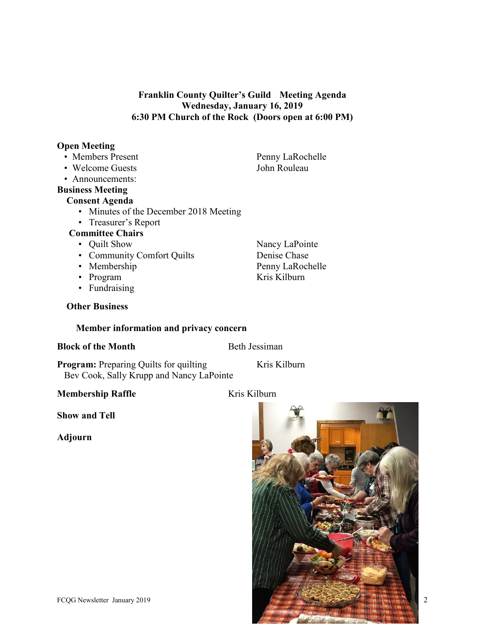**Franklin County Quilter's Guild Meeting Agenda Wednesday, January 16, 2019 6:30 PM Church of the Rock (Doors open at 6:00 PM)**

## **Open Meeting**

- 
- Welcome Guests John Rouleau
- Announcements:

## **Business Meeting**

## **Consent Agenda**

- Minutes of the December 2018 Meeting
- Treasurer's Report
- **Committee Chairs**
	-
	- Community Comfort Quilts Denise Chase
	-
	-
	- Fundraising

## **Other Business**

### **Member information and privacy concern**

### **Block of the Month** Beth Jessiman

**Program:** Preparing Quilts for quilting Kris Kilburn Bev Cook, Sally Krupp and Nancy LaPointe

**Membership Raffle** Kris Kilburn

**Show and Tell**

**Adjourn**



• Quilt Show Nancy LaPointe • Membership Penny LaRochelle • Program Kris Kilburn

• Members Present Penny LaRochelle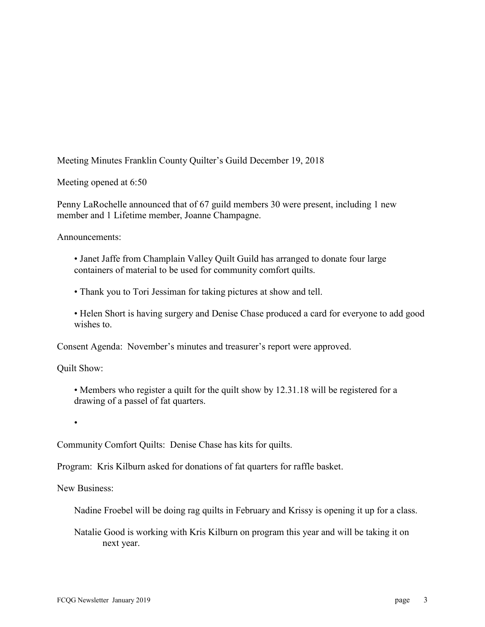Meeting Minutes Franklin County Quilter's Guild December 19, 2018

Meeting opened at 6:50

Penny LaRochelle announced that of 67 guild members 30 were present, including 1 new member and 1 Lifetime member, Joanne Champagne.

Announcements:

• Janet Jaffe from Champlain Valley Quilt Guild has arranged to donate four large containers of material to be used for community comfort quilts.

• Thank you to Tori Jessiman for taking pictures at show and tell.

• Helen Short is having surgery and Denise Chase produced a card for everyone to add good wishes to.

Consent Agenda: November's minutes and treasurer's report were approved.

Quilt Show:

• Members who register a quilt for the quilt show by 12.31.18 will be registered for a drawing of a passel of fat quarters.

•

Community Comfort Quilts: Denise Chase has kits for quilts.

Program: Kris Kilburn asked for donations of fat quarters for raffle basket.

New Business:

Nadine Froebel will be doing rag quilts in February and Krissy is opening it up for a class.

Natalie Good is working with Kris Kilburn on program this year and will be taking it on next year.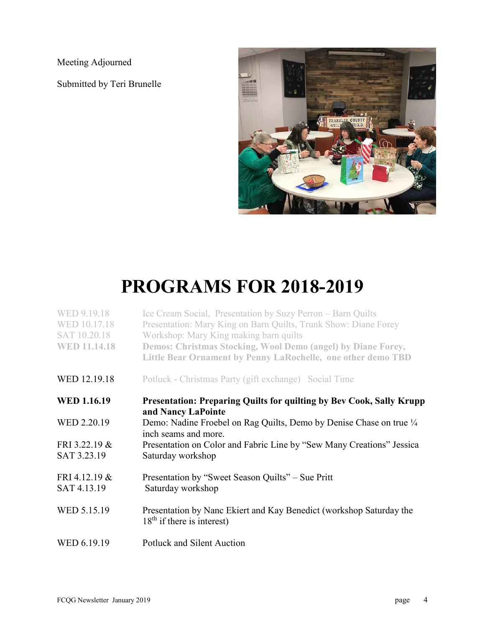Meeting Adjourned

Submitted by Teri Brunelle



## **PROGRAMS FOR 2018-2019**

| WED 9.19.18<br>WED 10.17.18<br>SAT 10.20.18<br><b>WED 11.14.18</b> | Ice Cream Social, Presentation by Suzy Perron – Barn Quilts<br>Presentation: Mary King on Barn Quilts, Trunk Show: Diane Forey<br>Workshop: Mary King making barn quilts<br>Demos: Christmas Stocking, Wool Demo (angel) by Diane Forey,<br>Little Bear Ornament by Penny LaRochelle, one other demo TBD |
|--------------------------------------------------------------------|----------------------------------------------------------------------------------------------------------------------------------------------------------------------------------------------------------------------------------------------------------------------------------------------------------|
| WED 12.19.18                                                       | Potluck - Christmas Party (gift exchange) Social Time                                                                                                                                                                                                                                                    |
| <b>WED 1.16.19</b>                                                 | <b>Presentation: Preparing Quilts for quilting by Bev Cook, Sally Krupp</b><br>and Nancy LaPointe                                                                                                                                                                                                        |
| WED 2.20.19                                                        | Demo: Nadine Froebel on Rag Quilts, Demo by Denise Chase on true 1/4<br>inch seams and more.                                                                                                                                                                                                             |
| FRI 3.22.19 &                                                      | Presentation on Color and Fabric Line by "Sew Many Creations" Jessica                                                                                                                                                                                                                                    |
| SAT 3.23.19                                                        | Saturday workshop                                                                                                                                                                                                                                                                                        |
| FRI 4.12.19 $&$                                                    | Presentation by "Sweet Season Quilts" – Sue Pritt                                                                                                                                                                                                                                                        |
| SAT 4.13.19                                                        | Saturday workshop                                                                                                                                                                                                                                                                                        |
| WED 5.15.19                                                        | Presentation by Nanc Ekiert and Kay Benedict (workshop Saturday the<br>$18th$ if there is interest)                                                                                                                                                                                                      |
| WED 6.19.19                                                        | Potluck and Silent Auction                                                                                                                                                                                                                                                                               |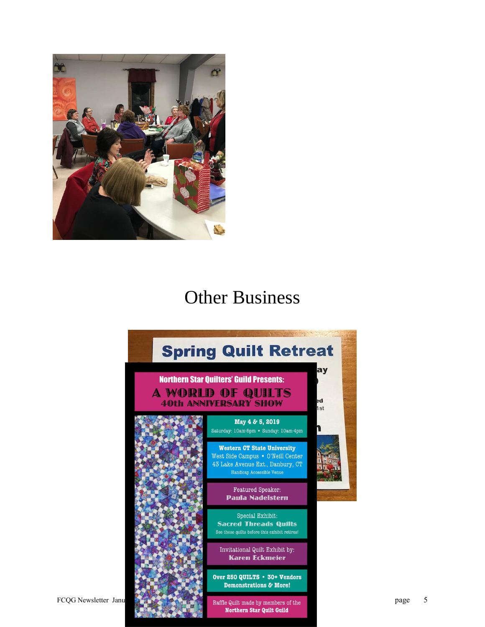

## **Other Business**